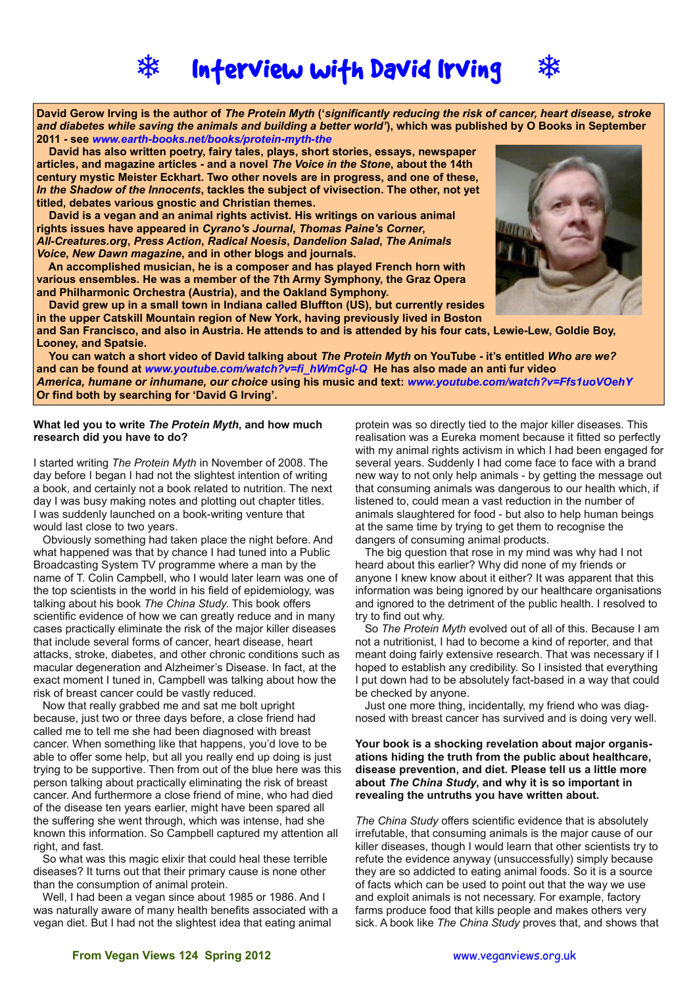

# **Inferview wifh David Irving**



**David Gerow Irving is the author of** *The Protein Myth* **('***significantly reducing the risk of cancer, heart disease, stroke and diabetes while saving the animals and building a better world'***), which was published by O Books in September 2011 - see** *[www.earth-books.net/books/protein-myth-the](http://www.earth-books.net/books/protein-myth-the)*

 **David has also written poetry, fairy tales, plays, short stories, essays, newspaper articles, and magazine articles - and a novel** *The Voice in the Stone***, about the 14th century mystic Meister Eckhart. Two other novels are in progress, and one of these,**  *In the Shadow of the Innocents***, tackles the subject of vivisection. The other, not yet titled, debates various gnostic and Christian themes.** 

 **David is a vegan and an animal rights activist. His writings on various animal rights issues have appeared in** *Cyrano's Journal***,** *Thomas Paine's Corner***,**  *All-Creatures.org***,** *Press Action***,** *Radical Noesis***,** *Dandelion Salad***,** *The Animals Voice***,** *New Dawn magazine***, and in other blogs and journals.** 

 **An accomplished musician, he is a composer and has played French horn with various ensembles. He was a member of the 7th Army Symphony, the Graz Opera and Philharmonic Orchestra (Austria), and the Oakland Symphony.** 

 **David grew up in a small town in Indiana called Bluffton (US), but currently resides in the upper Catskill Mountain region of New York, having previously lived in Boston**



**and San Francisco, and also in Austria. He attends to and is attended by his four cats, Lewie-Lew, Goldie Boy, Looney, and Spatsie.**

 **You can watch a short video of David talking about** *The Protein Myth* **on YouTube - it's entitled** *Who are we?* **and can be found at** *[www.youtube.com/watch?v=fi\\_hWmCgl-Q](http://www.youtube.com/watch?v=fi_hWmCgl-Q)* **He has also made an anti fur video**  *America, humane or inhumane, our choice* **using his music and text:** *[www.youtube.com/watch?v=Ffs1uoVOehY](http://www.youtube.com/watch?v=Ffs1uoVOehY)* **Or find both by searching for 'David G Irving'.**

#### **What led you to write** *The Protein Myth***, and how much research did you have to do?**

I started writing *The Protein Myth* in November of 2008. The day before I began I had not the slightest intention of writing a book, and certainly not a book related to nutrition. The next day I was busy making notes and plotting out chapter titles. I was suddenly launched on a book-writing venture that would last close to two years.

Obviously something had taken place the night before. And what happened was that by chance I had tuned into a Public Broadcasting System TV programme where a man by the name of T. Colin Campbell, who I would later learn was one of the top scientists in the world in his field of epidemiology, was talking about his book *The China Study*. This book offers scientific evidence of how we can greatly reduce and in many cases practically eliminate the risk of the major killer diseases that include several forms of cancer, heart disease, heart attacks, stroke, diabetes, and other chronic conditions such as macular degeneration and Alzheimer's Disease. In fact, at the exact moment I tuned in, Campbell was talking about how the risk of breast cancer could be vastly reduced.

Now that really grabbed me and sat me bolt upright because, just two or three days before, a close friend had called me to tell me she had been diagnosed with breast cancer. When something like that happens, you'd love to be able to offer some help, but all you really end up doing is just trying to be supportive. Then from out of the blue here was this person talking about practically eliminating the risk of breast cancer. And furthermore a close friend of mine, who had died of the disease ten years earlier, might have been spared all the suffering she went through, which was intense, had she known this information. So Campbell captured my attention all right, and fast.

So what was this magic elixir that could heal these terrible diseases? It turns out that their primary cause is none other than the consumption of animal protein.

Well, I had been a vegan since about 1985 or 1986. And I was naturally aware of many health benefits associated with a vegan diet. But I had not the slightest idea that eating animal

protein was so directly tied to the major killer diseases. This realisation was a Eureka moment because it fitted so perfectly with my animal rights activism in which I had been engaged for several years. Suddenly I had come face to face with a brand new way to not only help animals - by getting the message out that consuming animals was dangerous to our health which, if listened to, could mean a vast reduction in the number of animals slaughtered for food - but also to help human beings at the same time by trying to get them to recognise the dangers of consuming animal products.

The big question that rose in my mind was why had I not heard about this earlier? Why did none of my friends or anyone I knew know about it either? It was apparent that this information was being ignored by our healthcare organisations and ignored to the detriment of the public health. I resolved to try to find out why.

So *The Protein Myth* evolved out of all of this. Because I am not a nutritionist, I had to become a kind of reporter, and that meant doing fairly extensive research. That was necessary if I hoped to establish any credibility. So I insisted that everything I put down had to be absolutely fact-based in a way that could be checked by anyone.

Just one more thing, incidentally, my friend who was diagnosed with breast cancer has survived and is doing very well.

#### **Your book is a shocking revelation about major organisations hiding the truth from the public about healthcare, disease prevention, and diet. Please tell us a little more about** *The China Study***, and why it is so important in revealing the untruths you have written about.**

*The China Study* offers scientific evidence that is absolutely irrefutable, that consuming animals is the major cause of our killer diseases, though I would learn that other scientists try to refute the evidence anyway (unsuccessfully) simply because they are so addicted to eating animal foods. So it is a source of facts which can be used to point out that the way we use and exploit animals is not necessary. For example, factory farms produce food that kills people and makes others very sick. A book like *The China Study* proves that, and shows that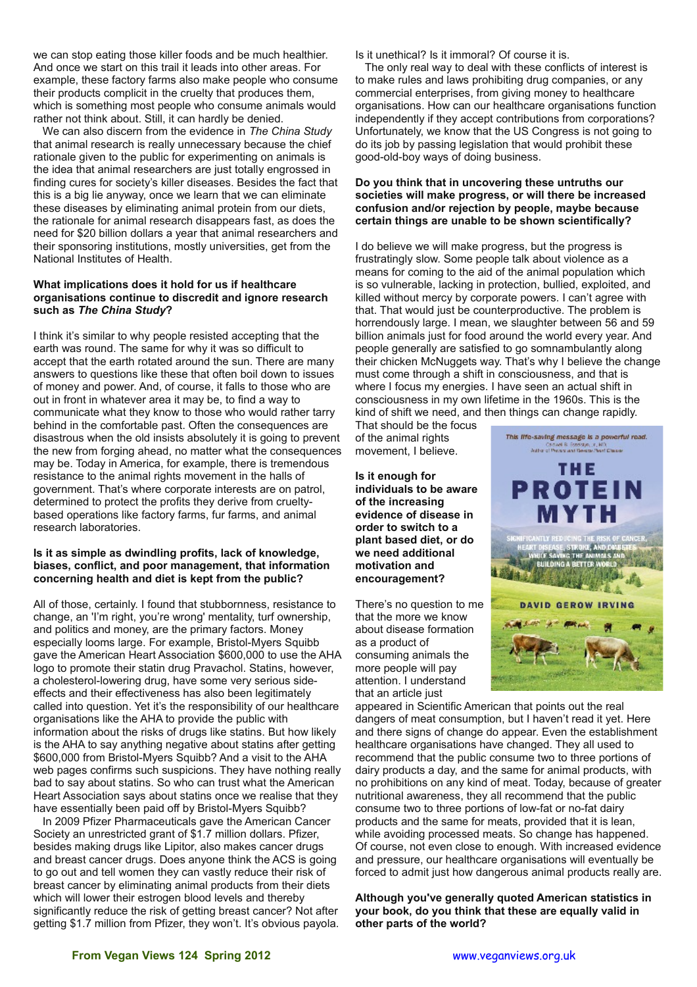we can stop eating those killer foods and be much healthier. And once we start on this trail it leads into other areas. For example, these factory farms also make people who consume their products complicit in the cruelty that produces them, which is something most people who consume animals would rather not think about. Still, it can hardly be denied.

We can also discern from the evidence in *The China Study* that animal research is really unnecessary because the chief rationale given to the public for experimenting on animals is the idea that animal researchers are just totally engrossed in finding cures for society's killer diseases. Besides the fact that this is a big lie anyway, once we learn that we can eliminate these diseases by eliminating animal protein from our diets, the rationale for animal research disappears fast, as does the need for \$20 billion dollars a year that animal researchers and their sponsoring institutions, mostly universities, get from the National Institutes of Health.

### **What implications does it hold for us if healthcare organisations continue to discredit and ignore research such as** *The China Study***?**

I think it's similar to why people resisted accepting that the earth was round. The same for why it was so difficult to accept that the earth rotated around the sun. There are many answers to questions like these that often boil down to issues of money and power. And, of course, it falls to those who are out in front in whatever area it may be, to find a way to communicate what they know to those who would rather tarry behind in the comfortable past. Often the consequences are disastrous when the old insists absolutely it is going to prevent the new from forging ahead, no matter what the consequences may be. Today in America, for example, there is tremendous resistance to the animal rights movement in the halls of government. That's where corporate interests are on patrol, determined to protect the profits they derive from crueltybased operations like factory farms, fur farms, and animal research laboratories.

## **Is it as simple as dwindling profits, lack of knowledge, biases, conflict, and poor management, that information concerning health and diet is kept from the public?**

All of those, certainly. I found that stubbornness, resistance to change, an 'I'm right, you're wrong' mentality, turf ownership, and politics and money, are the primary factors. Money especially looms large. For example, Bristol-Myers Squibb gave the American Heart Association \$600,000 to use the AHA logo to promote their statin drug Pravachol. Statins, however, a cholesterol-lowering drug, have some very serious sideeffects and their effectiveness has also been legitimately called into question. Yet it's the responsibility of our healthcare organisations like the AHA to provide the public with information about the risks of drugs like statins. But how likely is the AHA to say anything negative about statins after getting \$600,000 from Bristol-Myers Squibb? And a visit to the AHA web pages confirms such suspicions. They have nothing really bad to say about statins. So who can trust what the American Heart Association says about statins once we realise that they have essentially been paid off by Bristol-Myers Squibb?

In 2009 Pfizer Pharmaceuticals gave the American Cancer Society an unrestricted grant of \$1.7 million dollars. Pfizer, besides making drugs like Lipitor, also makes cancer drugs and breast cancer drugs. Does anyone think the ACS is going to go out and tell women they can vastly reduce their risk of breast cancer by eliminating animal products from their diets which will lower their estrogen blood levels and thereby significantly reduce the risk of getting breast cancer? Not after getting \$1.7 million from Pfizer, they won't. It's obvious payola. Is it unethical? Is it immoral? Of course it is.

The only real way to deal with these conflicts of interest is to make rules and laws prohibiting drug companies, or any commercial enterprises, from giving money to healthcare organisations. How can our healthcare organisations function independently if they accept contributions from corporations? Unfortunately, we know that the US Congress is not going to do its job by passing legislation that would prohibit these good-old-boy ways of doing business.

## **Do you think that in uncovering these untruths our societies will make progress, or will there be increased confusion and/or rejection by people, maybe because certain things are unable to be shown scientifically?**

I do believe we will make progress, but the progress is frustratingly slow. Some people talk about violence as a means for coming to the aid of the animal population which is so vulnerable, lacking in protection, bullied, exploited, and killed without mercy by corporate powers. I can't agree with that. That would just be counterproductive. The problem is horrendously large. I mean, we slaughter between 56 and 59 billion animals just for food around the world every year. And people generally are satisfied to go somnambulantly along their chicken McNuggets way. That's why I believe the change must come through a shift in consciousness, and that is where I focus my energies. I have seen an actual shift in consciousness in my own lifetime in the 1960s. This is the kind of shift we need, and then things can change rapidly.

That should be the focus of the animal rights movement, I believe.

**Is it enough for individuals to be aware of the increasing evidence of disease in order to switch to a plant based diet, or do we need additional motivation and encouragement?**

There's no question to me that the more we know about disease formation as a product of consuming animals the more people will pay attention. I understand that an article just



appeared in Scientific American that points out the real dangers of meat consumption, but I haven't read it yet. Here and there signs of change do appear. Even the establishment healthcare organisations have changed. They all used to recommend that the public consume two to three portions of dairy products a day, and the same for animal products, with no prohibitions on any kind of meat. Today, because of greater nutritional awareness, they all recommend that the public consume two to three portions of low-fat or no-fat dairy products and the same for meats, provided that it is lean, while avoiding processed meats. So change has happened. Of course, not even close to enough. With increased evidence and pressure, our healthcare organisations will eventually be forced to admit just how dangerous animal products really are.

**Although you've generally quoted American statistics in your book, do you think that these are equally valid in other parts of the world?**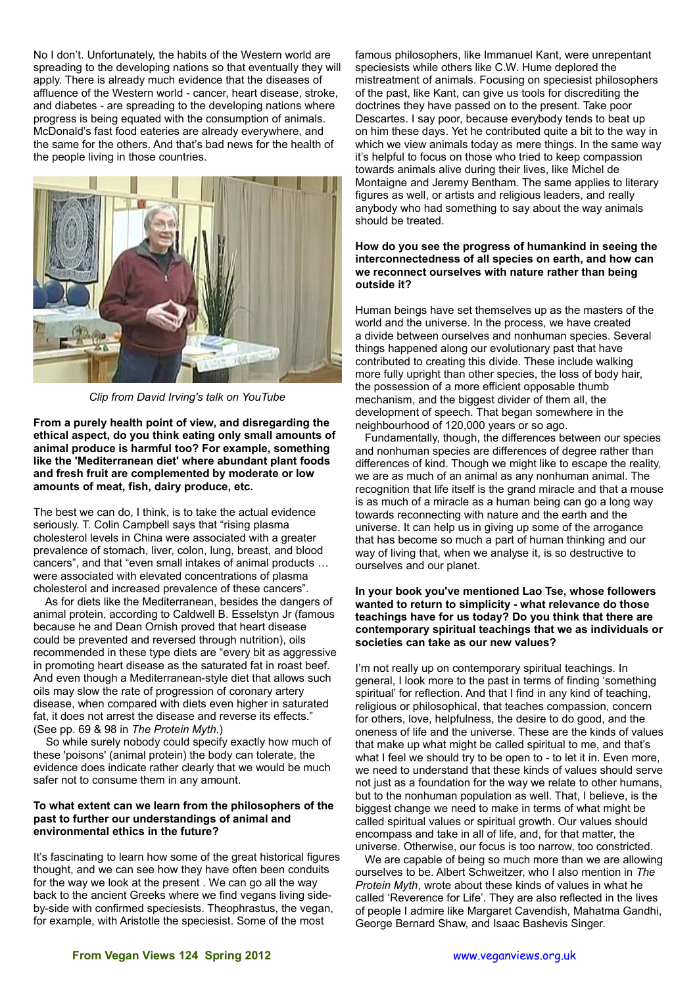No I don't. Unfortunately, the habits of the Western world are spreading to the developing nations so that eventually they will apply. There is already much evidence that the diseases of affluence of the Western world - cancer, heart disease, stroke, and diabetes - are spreading to the developing nations where progress is being equated with the consumption of animals. McDonald's fast food eateries are already everywhere, and the same for the others. And that's bad news for the health of the people living in those countries.



*Clip from David Irving's talk on YouTube*

**From a purely health point of view, and disregarding the ethical aspect, do you think eating only small amounts of animal produce is harmful too? For example, something like the 'Mediterranean diet' where abundant plant foods and fresh fruit are complemented by moderate or low amounts of meat, fish, dairy produce, etc.**

The best we can do, I think, is to take the actual evidence seriously. T. Colin Campbell says that "rising plasma cholesterol levels in China were associated with a greater prevalence of stomach, liver, colon, lung, breast, and blood cancers", and that "even small intakes of animal products … were associated with elevated concentrations of plasma cholesterol and increased prevalence of these cancers".

 As for diets like the Mediterranean, besides the dangers of animal protein, according to Caldwell B. Esselstyn Jr (famous because he and Dean Ornish proved that heart disease could be prevented and reversed through nutrition), oils recommended in these type diets are "every bit as aggressive in promoting heart disease as the saturated fat in roast beef. And even though a Mediterranean-style diet that allows such oils may slow the rate of progression of coronary artery disease, when compared with diets even higher in saturated fat, it does not arrest the disease and reverse its effects." (See pp. 69 & 98 in *The Protein Myth*.)

 So while surely nobody could specify exactly how much of these 'poisons' (animal protein) the body can tolerate, the evidence does indicate rather clearly that we would be much safer not to consume them in any amount.

### **To what extent can we learn from the philosophers of the past to further our understandings of animal and environmental ethics in the future?**

It's fascinating to learn how some of the great historical figures thought, and we can see how they have often been conduits for the way we look at the present . We can go all the way back to the ancient Greeks where we find vegans living sideby-side with confirmed speciesists. Theophrastus, the vegan, for example, with Aristotle the speciesist. Some of the most

famous philosophers, like Immanuel Kant, were unrepentant speciesists while others like C.W. Hume deplored the mistreatment of animals. Focusing on speciesist philosophers of the past, like Kant, can give us tools for discrediting the doctrines they have passed on to the present. Take poor Descartes. I say poor, because everybody tends to beat up on him these days. Yet he contributed quite a bit to the way in which we view animals today as mere things. In the same way it's helpful to focus on those who tried to keep compassion towards animals alive during their lives, like Michel de Montaigne and Jeremy Bentham. The same applies to literary figures as well, or artists and religious leaders, and really anybody who had something to say about the way animals should be treated.

## **How do you see the progress of humankind in seeing the interconnectedness of all species on earth, and how can we reconnect ourselves with nature rather than being outside it?**

Human beings have set themselves up as the masters of the world and the universe. In the process, we have created a divide between ourselves and nonhuman species. Several things happened along our evolutionary past that have contributed to creating this divide. These include walking more fully upright than other species, the loss of body hair, the possession of a more efficient opposable thumb mechanism, and the biggest divider of them all, the development of speech. That began somewhere in the neighbourhood of 120,000 years or so ago.

Fundamentally, though, the differences between our species and nonhuman species are differences of degree rather than differences of kind. Though we might like to escape the reality, we are as much of an animal as any nonhuman animal. The recognition that life itself is the grand miracle and that a mouse is as much of a miracle as a human being can go a long way towards reconnecting with nature and the earth and the universe. It can help us in giving up some of the arrogance that has become so much a part of human thinking and our way of living that, when we analyse it, is so destructive to ourselves and our planet.

## **In your book you've mentioned Lao Tse, whose followers wanted to return to simplicity - what relevance do those teachings have for us today? Do you think that there are contemporary spiritual teachings that we as individuals or societies can take as our new values?**

I'm not really up on contemporary spiritual teachings. In general, I look more to the past in terms of finding 'something spiritual' for reflection. And that I find in any kind of teaching, religious or philosophical, that teaches compassion, concern for others, love, helpfulness, the desire to do good, and the oneness of life and the universe. These are the kinds of values that make up what might be called spiritual to me, and that's what I feel we should try to be open to - to let it in. Even more, we need to understand that these kinds of values should serve not just as a foundation for the way we relate to other humans, but to the nonhuman population as well. That, I believe, is the biggest change we need to make in terms of what might be called spiritual values or spiritual growth. Our values should encompass and take in all of life, and, for that matter, the universe. Otherwise, our focus is too narrow, too constricted.

We are capable of being so much more than we are allowing ourselves to be. Albert Schweitzer, who I also mention in *The Protein Myth*, wrote about these kinds of values in what he called 'Reverence for Life'. They are also reflected in the lives of people I admire like Margaret Cavendish, Mahatma Gandhi, George Bernard Shaw, and Isaac Bashevis Singer.